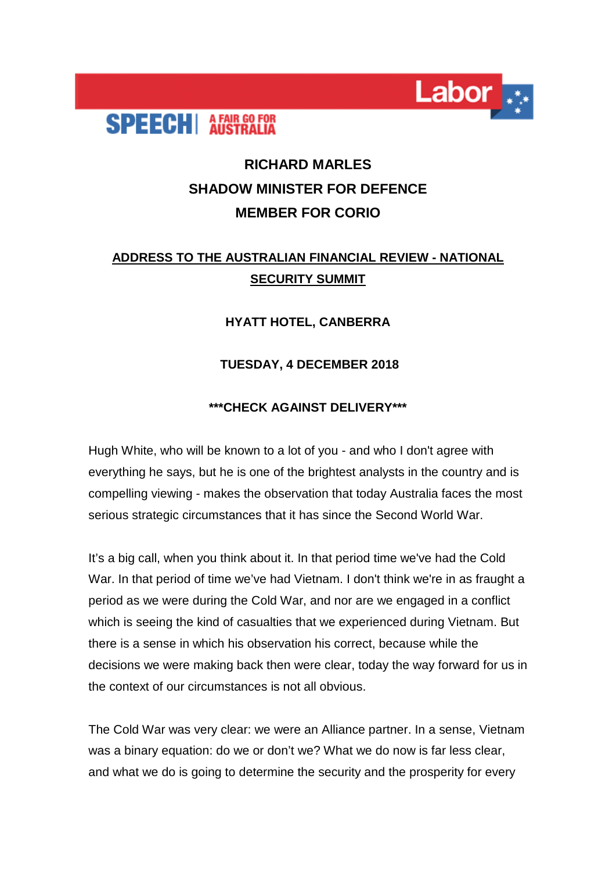

# **RICHARD MARLES SHADOW MINISTER FOR DEFENCE MEMBER FOR CORIO**

Labor

## **ADDRESS TO THE AUSTRALIAN FINANCIAL REVIEW - NATIONAL SECURITY SUMMIT**

### **HYATT HOTEL, CANBERRA**

### **TUESDAY, 4 DECEMBER 2018**

#### **\*\*\*CHECK AGAINST DELIVERY\*\*\***

Hugh White, who will be known to a lot of you - and who I don't agree with everything he says, but he is one of the brightest analysts in the country and is compelling viewing - makes the observation that today Australia faces the most serious strategic circumstances that it has since the Second World War.

It's a big call, when you think about it. In that period time we've had the Cold War. In that period of time we've had Vietnam. I don't think we're in as fraught a period as we were during the Cold War, and nor are we engaged in a conflict which is seeing the kind of casualties that we experienced during Vietnam. But there is a sense in which his observation his correct, because while the decisions we were making back then were clear, today the way forward for us in the context of our circumstances is not all obvious.

The Cold War was very clear: we were an Alliance partner. In a sense, Vietnam was a binary equation: do we or don't we? What we do now is far less clear, and what we do is going to determine the security and the prosperity for every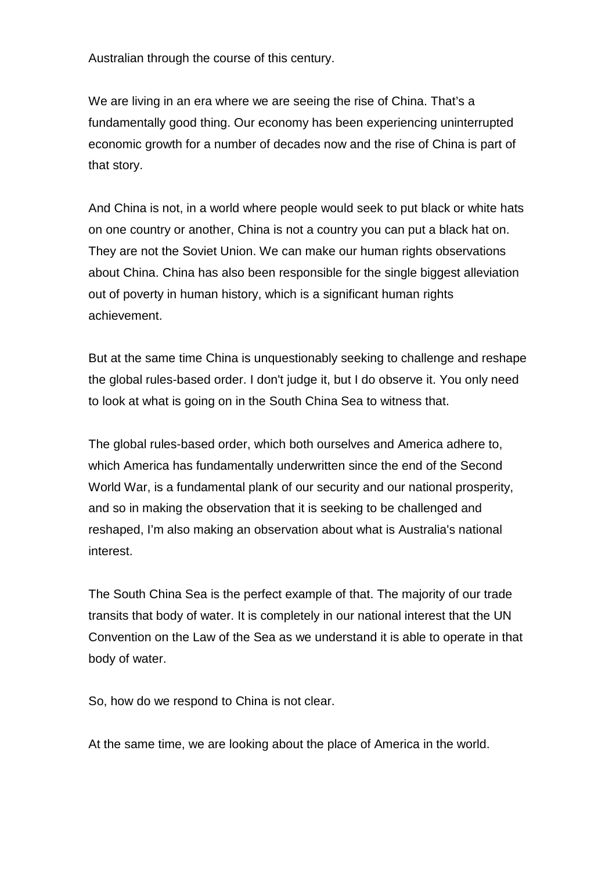Australian through the course of this century.

We are living in an era where we are seeing the rise of China. That's a fundamentally good thing. Our economy has been experiencing uninterrupted economic growth for a number of decades now and the rise of China is part of that story.

And China is not, in a world where people would seek to put black or white hats on one country or another, China is not a country you can put a black hat on. They are not the Soviet Union. We can make our human rights observations about China. China has also been responsible for the single biggest alleviation out of poverty in human history, which is a significant human rights achievement.

But at the same time China is unquestionably seeking to challenge and reshape the global rules-based order. I don't judge it, but I do observe it. You only need to look at what is going on in the South China Sea to witness that.

The global rules-based order, which both ourselves and America adhere to, which America has fundamentally underwritten since the end of the Second World War, is a fundamental plank of our security and our national prosperity, and so in making the observation that it is seeking to be challenged and reshaped, I'm also making an observation about what is Australia's national interest.

The South China Sea is the perfect example of that. The majority of our trade transits that body of water. It is completely in our national interest that the UN Convention on the Law of the Sea as we understand it is able to operate in that body of water.

So, how do we respond to China is not clear.

At the same time, we are looking about the place of America in the world.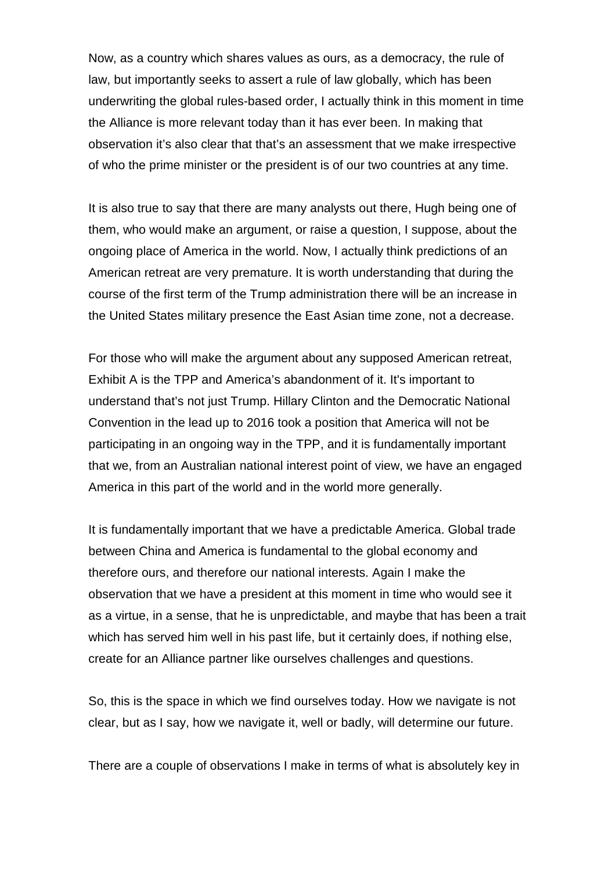Now, as a country which shares values as ours, as a democracy, the rule of law, but importantly seeks to assert a rule of law globally, which has been underwriting the global rules-based order, I actually think in this moment in time the Alliance is more relevant today than it has ever been. In making that observation it's also clear that that's an assessment that we make irrespective of who the prime minister or the president is of our two countries at any time.

It is also true to say that there are many analysts out there, Hugh being one of them, who would make an argument, or raise a question, I suppose, about the ongoing place of America in the world. Now, I actually think predictions of an American retreat are very premature. It is worth understanding that during the course of the first term of the Trump administration there will be an increase in the United States military presence the East Asian time zone, not a decrease.

For those who will make the argument about any supposed American retreat, Exhibit A is the TPP and America's abandonment of it. It's important to understand that's not just Trump. Hillary Clinton and the Democratic National Convention in the lead up to 2016 took a position that America will not be participating in an ongoing way in the TPP, and it is fundamentally important that we, from an Australian national interest point of view, we have an engaged America in this part of the world and in the world more generally.

It is fundamentally important that we have a predictable America. Global trade between China and America is fundamental to the global economy and therefore ours, and therefore our national interests. Again I make the observation that we have a president at this moment in time who would see it as a virtue, in a sense, that he is unpredictable, and maybe that has been a trait which has served him well in his past life, but it certainly does, if nothing else, create for an Alliance partner like ourselves challenges and questions.

So, this is the space in which we find ourselves today. How we navigate is not clear, but as I say, how we navigate it, well or badly, will determine our future.

There are a couple of observations I make in terms of what is absolutely key in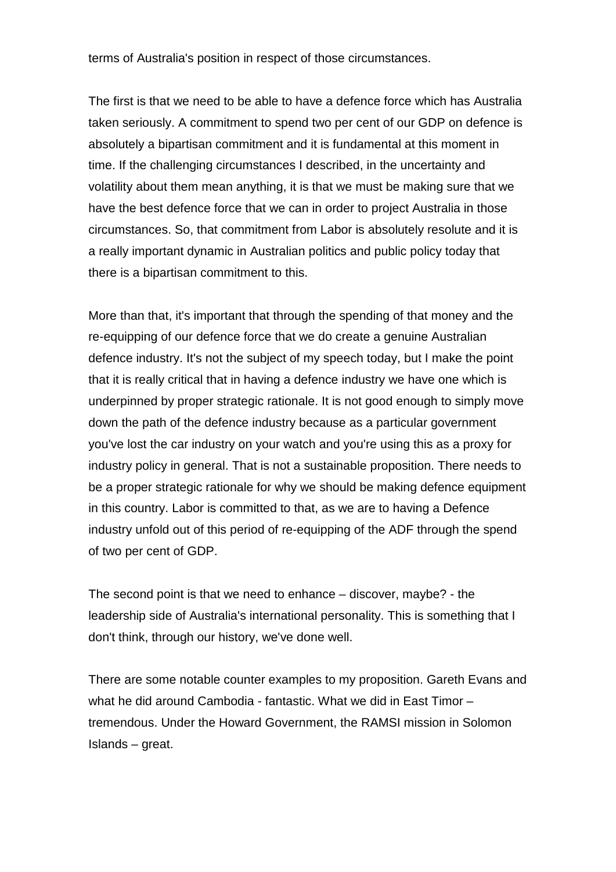terms of Australia's position in respect of those circumstances.

The first is that we need to be able to have a defence force which has Australia taken seriously. A commitment to spend two per cent of our GDP on defence is absolutely a bipartisan commitment and it is fundamental at this moment in time. If the challenging circumstances I described, in the uncertainty and volatility about them mean anything, it is that we must be making sure that we have the best defence force that we can in order to project Australia in those circumstances. So, that commitment from Labor is absolutely resolute and it is a really important dynamic in Australian politics and public policy today that there is a bipartisan commitment to this.

More than that, it's important that through the spending of that money and the re-equipping of our defence force that we do create a genuine Australian defence industry. It's not the subject of my speech today, but I make the point that it is really critical that in having a defence industry we have one which is underpinned by proper strategic rationale. It is not good enough to simply move down the path of the defence industry because as a particular government you've lost the car industry on your watch and you're using this as a proxy for industry policy in general. That is not a sustainable proposition. There needs to be a proper strategic rationale for why we should be making defence equipment in this country. Labor is committed to that, as we are to having a Defence industry unfold out of this period of re-equipping of the ADF through the spend of two per cent of GDP.

The second point is that we need to enhance – discover, maybe? - the leadership side of Australia's international personality. This is something that I don't think, through our history, we've done well.

There are some notable counter examples to my proposition. Gareth Evans and what he did around Cambodia - fantastic. What we did in East Timor – tremendous. Under the Howard Government, the RAMSI mission in Solomon Islands – great.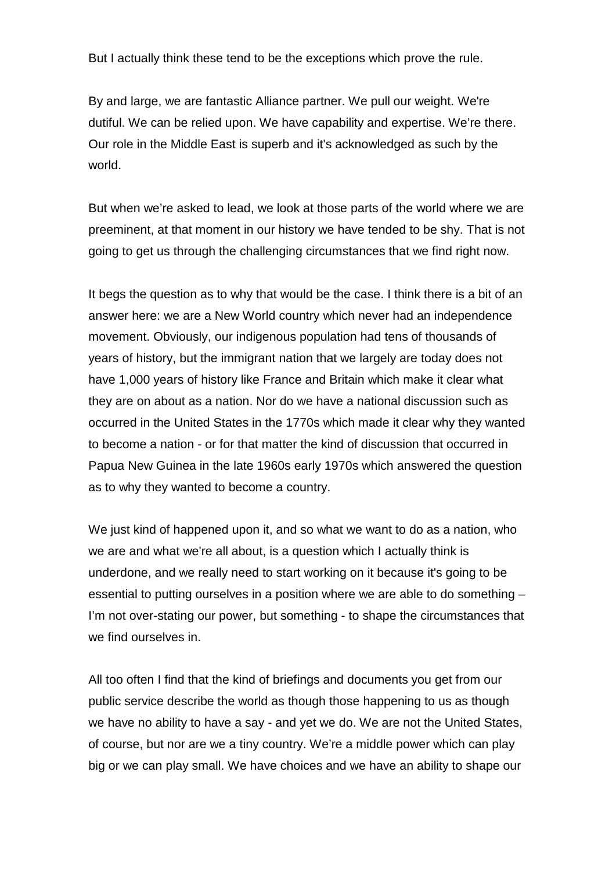But I actually think these tend to be the exceptions which prove the rule.

By and large, we are fantastic Alliance partner. We pull our weight. We're dutiful. We can be relied upon. We have capability and expertise. We're there. Our role in the Middle East is superb and it's acknowledged as such by the world.

But when we're asked to lead, we look at those parts of the world where we are preeminent, at that moment in our history we have tended to be shy. That is not going to get us through the challenging circumstances that we find right now.

It begs the question as to why that would be the case. I think there is a bit of an answer here: we are a New World country which never had an independence movement. Obviously, our indigenous population had tens of thousands of years of history, but the immigrant nation that we largely are today does not have 1,000 years of history like France and Britain which make it clear what they are on about as a nation. Nor do we have a national discussion such as occurred in the United States in the 1770s which made it clear why they wanted to become a nation - or for that matter the kind of discussion that occurred in Papua New Guinea in the late 1960s early 1970s which answered the question as to why they wanted to become a country.

We just kind of happened upon it, and so what we want to do as a nation, who we are and what we're all about, is a question which I actually think is underdone, and we really need to start working on it because it's going to be essential to putting ourselves in a position where we are able to do something – I'm not over-stating our power, but something - to shape the circumstances that we find ourselves in.

All too often I find that the kind of briefings and documents you get from our public service describe the world as though those happening to us as though we have no ability to have a say - and yet we do. We are not the United States, of course, but nor are we a tiny country. We're a middle power which can play big or we can play small. We have choices and we have an ability to shape our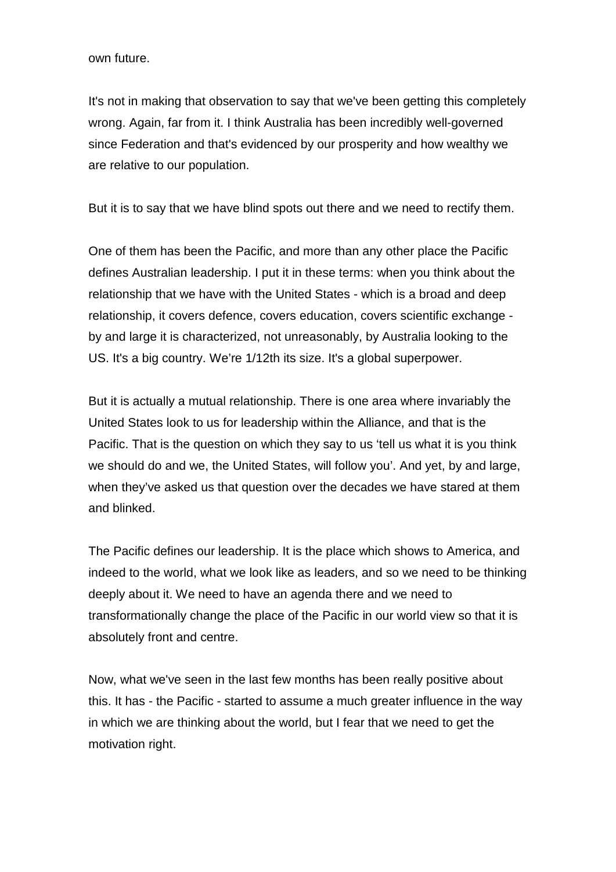own future.

It's not in making that observation to say that we've been getting this completely wrong. Again, far from it. I think Australia has been incredibly well-governed since Federation and that's evidenced by our prosperity and how wealthy we are relative to our population.

But it is to say that we have blind spots out there and we need to rectify them.

One of them has been the Pacific, and more than any other place the Pacific defines Australian leadership. I put it in these terms: when you think about the relationship that we have with the United States - which is a broad and deep relationship, it covers defence, covers education, covers scientific exchange by and large it is characterized, not unreasonably, by Australia looking to the US. It's a big country. We're 1/12th its size. It's a global superpower.

But it is actually a mutual relationship. There is one area where invariably the United States look to us for leadership within the Alliance, and that is the Pacific. That is the question on which they say to us 'tell us what it is you think we should do and we, the United States, will follow you'. And yet, by and large, when they've asked us that question over the decades we have stared at them and blinked.

The Pacific defines our leadership. It is the place which shows to America, and indeed to the world, what we look like as leaders, and so we need to be thinking deeply about it. We need to have an agenda there and we need to transformationally change the place of the Pacific in our world view so that it is absolutely front and centre.

Now, what we've seen in the last few months has been really positive about this. It has - the Pacific - started to assume a much greater influence in the way in which we are thinking about the world, but I fear that we need to get the motivation right.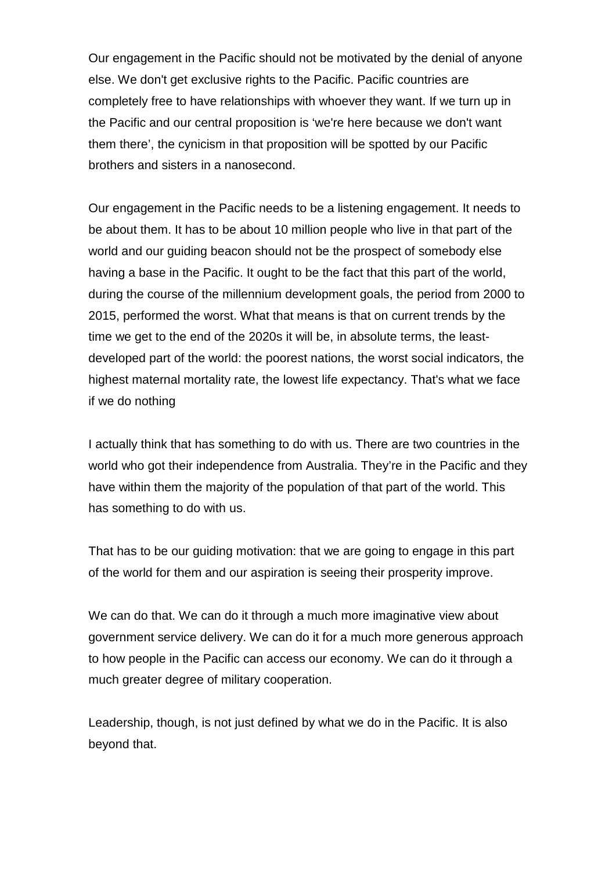Our engagement in the Pacific should not be motivated by the denial of anyone else. We don't get exclusive rights to the Pacific. Pacific countries are completely free to have relationships with whoever they want. If we turn up in the Pacific and our central proposition is 'we're here because we don't want them there', the cynicism in that proposition will be spotted by our Pacific brothers and sisters in a nanosecond.

Our engagement in the Pacific needs to be a listening engagement. It needs to be about them. It has to be about 10 million people who live in that part of the world and our guiding beacon should not be the prospect of somebody else having a base in the Pacific. It ought to be the fact that this part of the world, during the course of the millennium development goals, the period from 2000 to 2015, performed the worst. What that means is that on current trends by the time we get to the end of the 2020s it will be, in absolute terms, the leastdeveloped part of the world: the poorest nations, the worst social indicators, the highest maternal mortality rate, the lowest life expectancy. That's what we face if we do nothing

I actually think that has something to do with us. There are two countries in the world who got their independence from Australia. They're in the Pacific and they have within them the majority of the population of that part of the world. This has something to do with us.

That has to be our guiding motivation: that we are going to engage in this part of the world for them and our aspiration is seeing their prosperity improve.

We can do that. We can do it through a much more imaginative view about government service delivery. We can do it for a much more generous approach to how people in the Pacific can access our economy. We can do it through a much greater degree of military cooperation.

Leadership, though, is not just defined by what we do in the Pacific. It is also beyond that.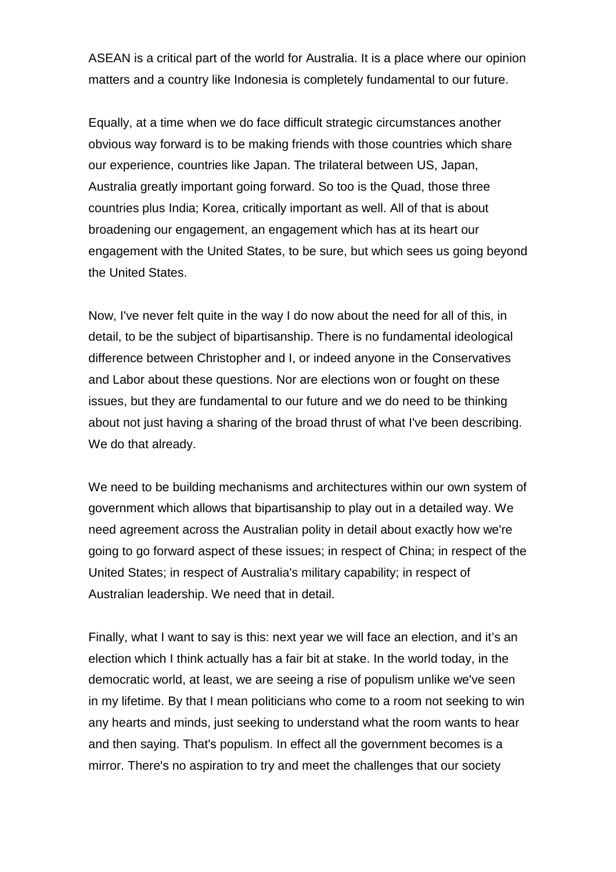ASEAN is a critical part of the world for Australia. It is a place where our opinion matters and a country like Indonesia is completely fundamental to our future.

Equally, at a time when we do face difficult strategic circumstances another obvious way forward is to be making friends with those countries which share our experience, countries like Japan. The trilateral between US, Japan, Australia greatly important going forward. So too is the Quad, those three countries plus India; Korea, critically important as well. All of that is about broadening our engagement, an engagement which has at its heart our engagement with the United States, to be sure, but which sees us going beyond the United States.

Now, I've never felt quite in the way I do now about the need for all of this, in detail, to be the subject of bipartisanship. There is no fundamental ideological difference between Christopher and I, or indeed anyone in the Conservatives and Labor about these questions. Nor are elections won or fought on these issues, but they are fundamental to our future and we do need to be thinking about not just having a sharing of the broad thrust of what I've been describing. We do that already.

We need to be building mechanisms and architectures within our own system of government which allows that bipartisanship to play out in a detailed way. We need agreement across the Australian polity in detail about exactly how we're going to go forward aspect of these issues; in respect of China; in respect of the United States; in respect of Australia's military capability; in respect of Australian leadership. We need that in detail.

Finally, what I want to say is this: next year we will face an election, and it's an election which I think actually has a fair bit at stake. In the world today, in the democratic world, at least, we are seeing a rise of populism unlike we've seen in my lifetime. By that I mean politicians who come to a room not seeking to win any hearts and minds, just seeking to understand what the room wants to hear and then saying. That's populism. In effect all the government becomes is a mirror. There's no aspiration to try and meet the challenges that our society